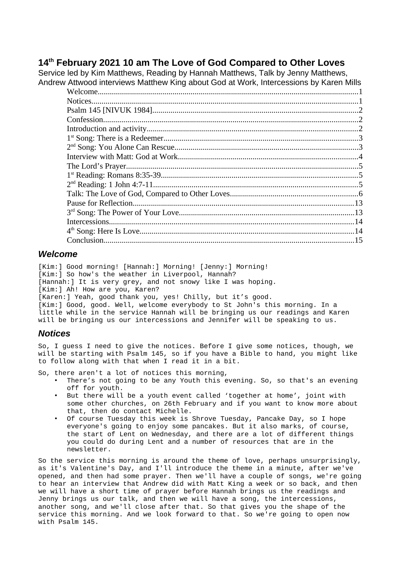# **14th February 2021 10 am The Love of God Compared to Other Loves**

Service led by Kim Matthews, Reading by Hannah Matthews, Talk by Jenny Matthews, Andrew Attwood interviews Matthew King about God at Work, Intercessions by Karen Mills

## <span id="page-0-1"></span>*Welcome*

[Kim:] Good morning! [Hannah:] Morning! [Jenny:] Morning! [Kim:] So how's the weather in Liverpool, Hannah? [Hannah:] It is very grey, and not snowy like I was hoping. [Kim:] Ah! How are you, Karen? [Karen:] Yeah, good thank you, yes! Chilly, but it's good. [Kim:] Good, good. Well, welcome everybody to St John's this morning. In a little while in the service Hannah will be bringing us our readings and Karen will be bringing us our intercessions and Jennifer will be speaking to us.

# <span id="page-0-0"></span>*Notices*

So, I guess I need to give the notices. Before I give some notices, though, we will be starting with Psalm 145, so if you have a Bible to hand, you might like to follow along with that when I read it in a bit.

So, there aren't a lot of notices this morning,

- There's not going to be any Youth this evening. So, so that's an evening off for youth.
- But there will be a youth event called 'together at home', joint with some other churches, on 26th February and if you want to know more about that, then do contact Michelle.
- Of course Tuesday this week is Shrove Tuesday, Pancake Day, so I hope everyone's going to enjoy some pancakes. But it also marks, of course, the start of Lent on Wednesday, and there are a lot of different things you could do during Lent and a number of resources that are in the newsletter.

So the service this morning is around the theme of love, perhaps unsurprisingly, as it's Valentine's Day, and I'll introduce the theme in a minute, after we've opened, and then had some prayer. Then we'll have a couple of songs, we're going to hear an interview that Andrew did with Matt King a week or so back, and then we will have a short time of prayer before Hannah brings us the readings and Jenny brings us our talk, and then we will have a song, the intercessions, another song, and we'll close after that. So that gives you the shape of the service this morning. And we look forward to that. So we're going to open now with Psalm 145.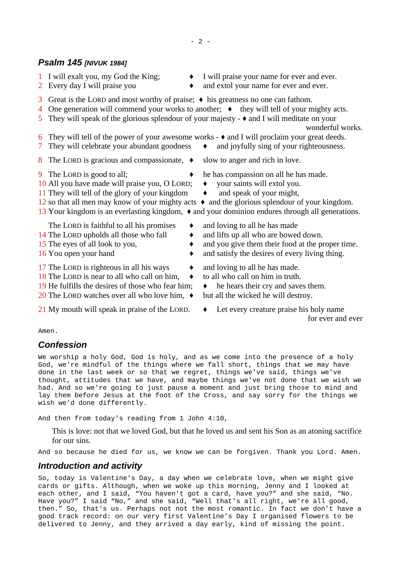## <span id="page-1-2"></span>*Psalm 145 [NIVUK 1984]*

- 1 I will exalt you, my God the King;  $\rightarrow$  I will praise your name for ever and ever.
- 
- 3 Great is the LORD and most worthy of praise; ♦ his greatness no one can fathom.
- 4 One generation will commend your works to another; ♦ they will tell of your mighty acts.
- 5 They will speak of the glorious splendour of your majesty  $\rightarrow$  and I will meditate on your

wonderful works.

- 6 They will tell of the power of your awesome works  $\rightarrow$  and I will proclaim your great deeds.
- 7 They will celebrate your abundant goodness ♦ and joyfully sing of your righteousness.
- 8 The LORD is gracious and compassionate, ♦ slow to anger and rich in love.
- 9 The LORD is good to all:  $\rightarrow$  he has compassion on all he has made.
- 10 All you have made will praise you, O LORD;  $\bullet$  your saints will extol you.
- 11 They will tell of the glory of your kingdom  $\bullet$  and speak of your might,
- 12 so that all men may know of your mighty acts  $\triangleleft$  and the glorious splendour of your kingdom.
- 13 Your kingdom is an everlasting kingdom, ♦ and your dominion endures through all generations.
- The LORD is faithful to all his promises  $\bullet$  and loving to all he has made
- 14 The LORD upholds all those who fall  $\rightarrow$  and lifts up all who are bowed down.
- 
- 
- 17 The LORD is righteous in all his ways  $\bullet$  and loving to all he has made.
- 18 The LORD is near to all who call on him,  $\bullet$  to all who call on him in truth.
- 19 He fulfills the desires of those who fear him;  $\bullet$  he hears their cry and saves them.
- 20 The LORD watches over all who love him,  $\bullet$  but all the wicked he will destroy.
- 21 My mouth will speak in praise of the LORD.  $\bullet$  Let every creature praise his holy name
- 
- 
- 15 The eyes of all look to you,  $\bullet$  and you give them their food at the proper time.
- 16 You open your hand  $\bullet$  and satisfy the desires of every living thing.
	-
	-
	-
	-
	- for ever and ever

#### Amen.

## <span id="page-1-1"></span>*Confession*

We worship a holy God, God is holy, and as we come into the presence of a holy God, we're mindful of the things where we fall short, things that we may have done in the last week or so that we regret, things we've said, things we've thought, attitudes that we have, and maybe things we've not done that we wish we had. And so we're going to just pause a moment and just bring those to mind and lay them before Jesus at the foot of the Cross, and say sorry for the things we wish we'd done differently.

And then from today's reading from 1 John 4:10,

This is love: not that we loved God, but that he loved us and sent his Son as an atoning sacrifice for our sins.

And so because he died for us, we know we can be forgiven. Thank you Lord. Amen.

# <span id="page-1-0"></span>*Introduction and activity*

So, today is Valentine's Day, a day when we celebrate love, when we might give cards or gifts. Although, when we woke up this morning, Jenny and I looked at each other, and I said, "You haven't got a card, have you?" and she said, "No. Have you?" I said "No," and she said, "Well that's all right, we're all good, then." So, that's us. Perhaps not not the most romantic. In fact we don't have a good track record: on our very first Valentine's Day I organised flowers to be delivered to Jenny, and they arrived a day early, kind of missing the point.

2 Every day I will praise you  $\bullet$  and extol your name for ever and ever.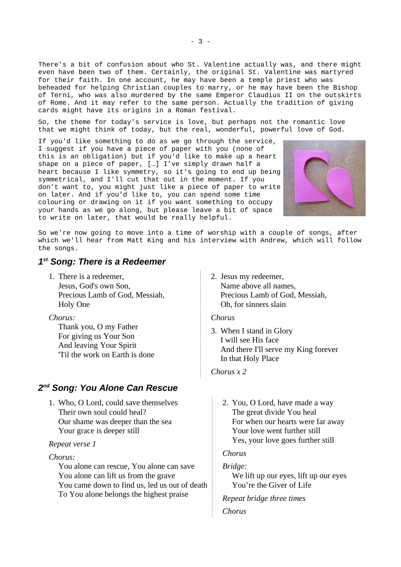There's a bit of confusion about who St. Valentine actually was, and there might even have been two of them. Certainly, the original St. Valentine was martyred for their faith. In one account, he may have been a temple priest who was beheaded for helping Christian couples to marry, or he may have been the Bishop of Terni, who was also murdered by the same Emperor Claudius II on the outskirts of Rome. And it may refer to the same person. Actually the tradition of giving cards might have its origins in a Roman festival.

So, the theme for today's service is love, but perhaps not the romantic love that we might think of today, but the real, wonderful, powerful love of God.

If you'd like something to do as we go through the service, I suggest if you have a piece of paper with you (none of this is an obligation) but if you'd like to make up a heart shape on a piece of paper, […] I've simply drawn half a heart because I like symmetry, so it's going to end up being symmetrical, and I'll cut that out in the moment. If you don't want to, you might just like a piece of paper to write on later. And if you'd like to, you can spend some time colouring or drawing on it if you want something to occupy your hands as we go along, but please leave a bit of space to write on later, that would be really helpful.



So we're now going to move into a time of worship with a couple of songs, after which we'll hear from Matt King and his interview with Andrew, which will follow the songs.

# <span id="page-2-1"></span>*1 st Song: There is a Redeemer*

1. There is a redeemer, Jesus, God's own Son, Precious Lamb of God, Messiah, Holy One

#### *Chorus:*

Thank you, O my Father For giving us Your Son And leaving Your Spirit 'Til the work on Earth is done

# <span id="page-2-0"></span>*2 nd Song: You Alone Can Rescue*

1. Who, O Lord, could save themselves Their own soul could heal? Our shame was deeper than the sea Your grace is deeper still

#### *Repeat verse 1*

#### *Chorus:*

You alone can rescue, You alone can save You alone can lift us from the grave You came down to find us, led us out of death To You alone belongs the highest praise

2. Jesus my redeemer, Name above all names, Precious Lamb of God, Messiah, Oh, for sinners slain

#### *Chorus*

3. When I stand in Glory I will see His face And there I'll serve my King forever In that Holy Place

*Chorus x 2*

2. You, O Lord, have made a way The great divide You heal For when our hearts were far away Your love went further still Yes, your love goes further still

#### *Chorus*

*Bridge:*

We lift up our eyes, lift up our eyes You're the Giver of Life

*Repeat bridge three times*

*Chorus*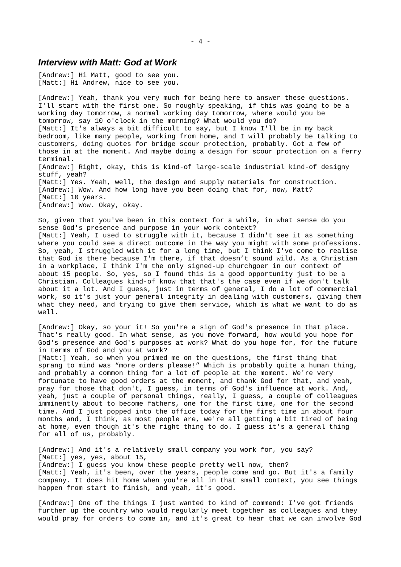#### <span id="page-3-0"></span>*Interview with Matt: God at Work*

[Andrew:] Hi Matt, good to see you. [Matt:] Hi Andrew, nice to see you.

[Andrew:] Yeah, thank you very much for being here to answer these questions. I'll start with the first one. So roughly speaking, if this was going to be a working day tomorrow, a normal working day tomorrow, where would you be tomorrow, say 10 o'clock in the morning? What would you do? [Matt:] It's always a bit difficult to say, but I know I'll be in my back bedroom, like many people, working from home, and I will probably be talking to customers, doing quotes for bridge scour protection, probably. Got a few of those in at the moment. And maybe doing a design for scour protection on a ferry terminal. [Andrew:] Right, okay, this is kind-of large-scale industrial kind-of designy stuff, yeah? [Matt:] Yes. Yeah, well, the design and supply materials for construction. [Andrew:] Wow. And how long have you been doing that for, now, Matt? [Matt:] 10 years. [Andrew:] Wow. Okay, okay.

So, given that you've been in this context for a while, in what sense do you sense God's presence and purpose in your work context? [Matt:] Yeah, I used to struggle with it, because I didn't see it as something where you could see a direct outcome in the way you might with some professions. So, yeah, I struggled with it for a long time, but I think I've come to realise that God is there because I'm there, if that doesn't sound wild. As a Christian in a workplace, I think I'm the only signed-up churchgoer in our context of about 15 people. So, yes, so I found this is a good opportunity just to be a Christian. Colleagues kind-of know that that's the case even if we don't talk about it a lot. And I guess, just in terms of general, I do a lot of commercial work, so it's just your general integrity in dealing with customers, giving them what they need, and trying to give them service, which is what we want to do as well.

[Andrew:] Okay, so your it! So you're a sign of God's presence in that place. That's really good. In what sense, as you move forward, how would you hope for God's presence and God's purposes at work? What do you hope for, for the future in terms of God and you at work?

[Matt:] Yeah, so when you primed me on the questions, the first thing that sprang to mind was "more orders please!" Which is probably quite a human thing, and probably a common thing for a lot of people at the moment. We're very fortunate to have good orders at the moment, and thank God for that, and yeah, pray for those that don't, I guess, in terms of God's influence at work. And, yeah, just a couple of personal things, really, I guess, a couple of colleagues imminently about to become fathers, one for the first time, one for the second time. And I just popped into the office today for the first time in about four months and, I think, as most people are, we're all getting a bit tired of being at home, even though it's the right thing to do. I guess it's a general thing for all of us, probably.

[Andrew:] And it's a relatively small company you work for, you say? [Matt:] yes, yes, about 15, [Andrew:] I guess you know these people pretty well now, then? [Matt:] Yeah, it's been, over the years, people come and go. But it's a family company. It does hit home when you're all in that small context, you see things happen from start to finish, and yeah, it's good.

[Andrew:] One of the things I just wanted to kind of commend: I've got friends further up the country who would regularly meet together as colleagues and they would pray for orders to come in, and it's great to hear that we can involve God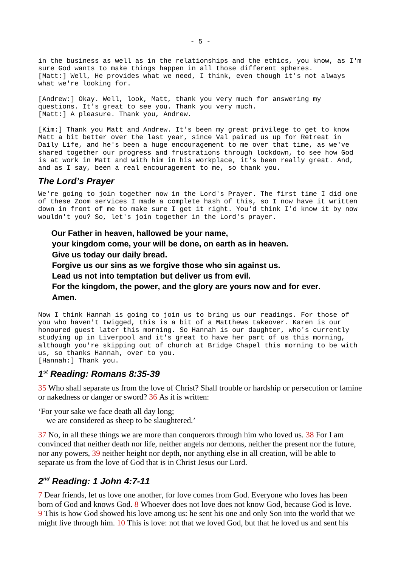in the business as well as in the relationships and the ethics, you know, as I'm sure God wants to make things happen in all those different spheres. [Matt:] Well, He provides what we need, I think, even though it's not always what we're looking for.

[Andrew:] Okay. Well, look, Matt, thank you very much for answering my questions. It's great to see you. Thank you very much. [Matt:] A pleasure. Thank you, Andrew.

[Kim:] Thank you Matt and Andrew. It's been my great privilege to get to know Matt a bit better over the last year, since Val paired us up for Retreat in Daily Life, and he's been a huge encouragement to me over that time, as we've shared together our progress and frustrations through lockdown, to see how God is at work in Matt and with him in his workplace, it's been really great. And, and as I say, been a real encouragement to me, so thank you.

## <span id="page-4-2"></span>*The Lord's Prayer*

We're going to join together now in the Lord's Prayer. The first time I did one of these Zoom services I made a complete hash of this, so I now have it written down in front of me to make sure I get it right. You'd think I'd know it by now wouldn't you? So, let's join together in the Lord's prayer.

**Our Father in heaven, hallowed be your name, your kingdom come, your will be done, on earth as in heaven. Give us today our daily bread.**

**Forgive us our sins as we forgive those who sin against us.**

**Lead us not into temptation but deliver us from evil.**

**For the kingdom, the power, and the glory are yours now and for ever. Amen.**

Now I think Hannah is going to join us to bring us our readings. For those of you who haven't twigged, this is a bit of a Matthews takeover. Karen is our honoured guest later this morning. So Hannah is our daughter, who's currently studying up in Liverpool and it's great to have her part of us this morning, although you're skipping out of church at Bridge Chapel this morning to be with us, so thanks Hannah, over to you. [Hannah:] Thank you.

# <span id="page-4-1"></span>*1 st Reading: Romans 8:35-39*

35 Who shall separate us from the love of Christ? Shall trouble or hardship or persecution or famine or nakedness or danger or sword? 36 As it is written:

'For your sake we face death all day long;

we are considered as sheep to be slaughtered.'

37 No, in all these things we are more than conquerors through him who loved us. 38 For I am convinced that neither death nor life, neither angels nor demons, neither the present nor the future, nor any powers, 39 neither height nor depth, nor anything else in all creation, will be able to separate us from the love of God that is in Christ Jesus our Lord.

# <span id="page-4-0"></span>*2 nd Reading: 1 John 4:7-11*

7 Dear friends, let us love one another, for love comes from God. Everyone who loves has been born of God and knows God. 8 Whoever does not love does not know God, because God is love. 9 This is how God showed his love among us: he sent his one and only Son into the world that we might live through him. 10 This is love: not that we loved God, but that he loved us and sent his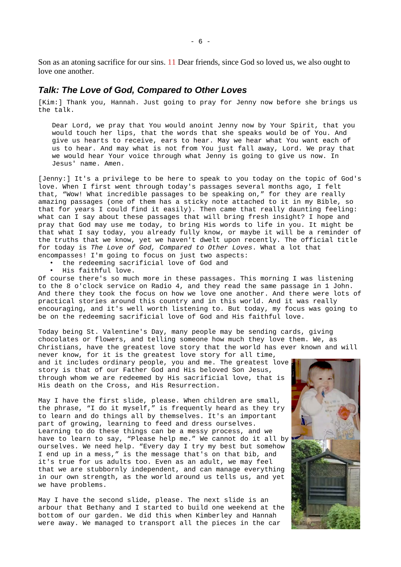Son as an atoning sacrifice for our sins. 11 Dear friends, since God so loved us, we also ought to love one another.

#### <span id="page-5-0"></span>*Talk: The Love of God, Compared to Other Loves*

[Kim:] Thank you, Hannah. Just going to pray for Jenny now before she brings us the talk.

Dear Lord, we pray that You would anoint Jenny now by Your Spirit, that you would touch her lips, that the words that she speaks would be of You. And give us hearts to receive, ears to hear. May we hear what You want each of us to hear. And may what is not from You just fall away, Lord. We pray that we would hear Your voice through what Jenny is going to give us now. In Jesus' name. Amen.

[Jenny:] It's a privilege to be here to speak to you today on the topic of God's love. When I first went through today's passages several months ago, I felt that, "Wow! What incredible passages to be speaking on," for they are really amazing passages (one of them has a sticky note attached to it in my Bible, so that for years I could find it easily). Then came that really daunting feeling: what can I say about these passages that will bring fresh insight? I hope and pray that God may use me today, to bring His words to life in you. It might be that what I say today, you already fully know, or maybe it will be a reminder of the truths that we know, yet we haven't dwelt upon recently. The official title for today is *The Love of God, Compared to Other Loves*. What a lot that encompasses! I'm going to focus on just two aspects:

- the redeeming sacrificial love of God and
- His faithful love.

Of course there's so much more in these passages. This morning I was listening to the 8 o'clock service on Radio 4, and they read the same passage in 1 John. And there they took the focus on how we love one another. And there were lots of practical stories around this country and in this world. And it was really encouraging, and it's well worth listening to. But today, my focus was going to be on the redeeming sacrificial love of God and His faithful love.

Today being St. Valentine's Day, many people may be sending cards, giving chocolates or flowers, and telling someone how much they love them. We, as Christians, have the greatest love story that the world has ever known and will

never know, for it is the greatest love story for all time, and it includes ordinary people, you and me. The greatest love story is that of our Father God and His beloved Son Jesus, through whom we are redeemed by His sacrificial love, that is His death on the Cross, and His Resurrection.

May I have the first slide, please. When children are small, the phrase, "I do it myself," is frequently heard as they try to learn and do things all by themselves. It's an important part of growing, learning to feed and dress ourselves. Learning to do these things can be a messy process, and we have to learn to say, "Please help me." We cannot do it all by ourselves. We need help. "Every day I try my best but somehow I end up in a mess," is the message that's on that bib, and it's true for us adults too. Even as an adult, we may feel that we are stubbornly independent, and can manage everything in our own strength, as the world around us tells us, and yet we have problems.

May I have the second slide, please. The next slide is an arbour that Bethany and I started to build one weekend at the bottom of our garden. We did this when Kimberley and Hannah were away. We managed to transport all the pieces in the car

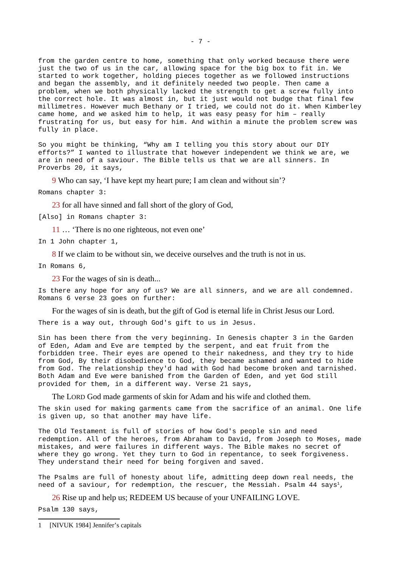from the garden centre to home, something that only worked because there were just the two of us in the car, allowing space for the big box to fit in. We started to work together, holding pieces together as we followed instructions and began the assembly, and it definitely needed two people. Then came a problem, when we both physically lacked the strength to get a screw fully into the correct hole. It was almost in, but it just would not budge that final few millimetres. However much Bethany or I tried, we could not do it. When Kimberley came home, and we asked him to help, it was easy peasy for him – really frustrating for us, but easy for him. And within a minute the problem screw was fully in place.

So you might be thinking, "Why am I telling you this story about our DIY efforts?" I wanted to illustrate that however independent we think we are, we are in need of a saviour. The Bible tells us that we are all sinners. In Proverbs 20, it says,

9 Who can say, 'I have kept my heart pure; I am clean and without sin'? Romans chapter 3:

23 for all have sinned and fall short of the glory of God,

[Also] in Romans chapter 3:

11 … 'There is no one righteous, not even one'

In 1 John chapter 1,

8 If we claim to be without sin, we deceive ourselves and the truth is not in us.

In Romans 6,

23 For the wages of sin is death...

Is there any hope for any of us? We are all sinners, and we are all condemned. Romans 6 verse 23 goes on further:

For the wages of sin is death, but the gift of God is eternal life in Christ Jesus our Lord.

There is a way out, through God's gift to us in Jesus.

Sin has been there from the very beginning. In Genesis chapter 3 in the Garden of Eden, Adam and Eve are tempted by the serpent, and eat fruit from the forbidden tree. Their eyes are opened to their nakedness, and they try to hide from God, By their disobedience to God, they became ashamed and wanted to hide from God. The relationship they'd had with God had become broken and tarnished. Both Adam and Eve were banished from the Garden of Eden, and yet God still provided for them, in a different way. Verse 21 says,

The LORD God made garments of skin for Adam and his wife and clothed them.

The skin used for making garments came from the sacrifice of an animal. One life is given up, so that another may have life.

The Old Testament is full of stories of how God's people sin and need redemption. All of the heroes, from Abraham to David, from Joseph to Moses, made mistakes, and were failures in different ways. The Bible makes no secret of where they go wrong. Yet they turn to God in repentance, to seek forgiveness. They understand their need for being forgiven and saved.

The Psalms are full of honesty about life, admitting deep down real needs, the need of a saviour, for redemption, the rescuer, the Messiah. Psalm 44 says<sup>[1](#page-6-0)</sup>,

26 Rise up and help us; REDEEM US because of your UNFAILING LOVE.

Psalm 130 says,

<span id="page-6-0"></span><sup>1</sup> [NIVUK 1984] Jennifer's capitals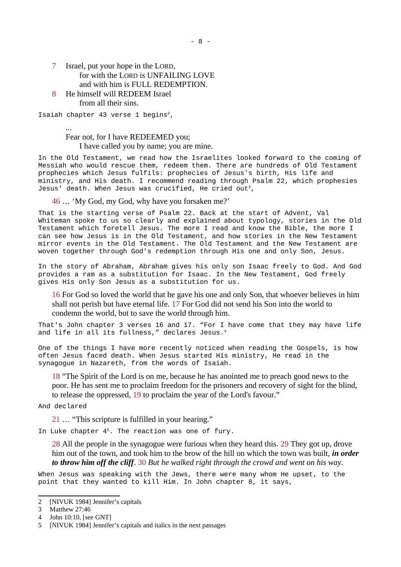- 7 Israel, put your hope in the LORD, for with the LORD is UNFAILING LOVE and with him is FULL REDEMPTION.
- 8 He himself will REDEEM Israel from all their sins.

Isaiah chapter 43 verse  $1$  begins<sup>[2](#page-7-0)</sup>,

... Fear not, for I have REDEEMED you; I have called you by name; you are mine.

In the Old Testament, we read how the Israelites looked forward to the coming of Messiah who would rescue them, redeem them. There are hundreds of Old Testament prophecies which Jesus fulfils: prophecies of Jesus's birth, His life and ministry, and His death. I recommend reading through Psalm 22, which prophesies Jesus' death. When Jesus was crucified, He cried out<sup>[3](#page-7-1)</sup>,

46 … 'My God, my God, why have you forsaken me?'

That is the starting verse of Psalm 22. Back at the start of Advent, Val Whiteman spoke to us so clearly and explained about typology, stories in the Old Testament which foretell Jesus. The more I read and know the Bible, the more I can see how Jesus is in the Old Testament, and how stories in the New Testament mirror events in the Old Testament. The Old Testament and the New Testament are woven together through God's redemption through His one and only Son, Jesus.

In the story of Abraham, Abraham gives his only son Isaac freely to God. And God provides a ram as a substitution for Isaac. In the New Testament, God freely gives His only Son Jesus as a substitution for us.

16 For God so loved the world that he gave his one and only Son, that whoever believes in him shall not perish but have eternal life. 17 For God did not send his Son into the world to condemn the world, but to save the world through him.

That's John chapter 3 verses 16 and 17. "For I have come that they may have life and life in all its fullness," declares Jesus.<sup>[4](#page-7-2)</sup>

One of the things I have more recently noticed when reading the Gospels, is how often Jesus faced death. When Jesus started His ministry, He read in the synagogue in Nazareth, from the words of Isaiah.

18 "The Spirit of the Lord is on me, because he has anointed me to preach good news to the poor. He has sent me to proclaim freedom for the prisoners and recovery of sight for the blind, to release the oppressed, 19 to proclaim the year of the Lord's favour."

And declared

21 … "This scripture is fulfilled in your hearing."

In Luke chapter 4 [5](#page-7-3). The reaction was one of fury.

28 All the people in the synagogue were furious when they heard this. 29 They got up, drove him out of the town, and took him to the brow of the hill on which the town was built, *in order to throw him off the cliff*. 30 *But he walked right through the crowd and went on his way.* 

When Jesus was speaking with the Jews, there were many whom He upset, to the point that they wanted to kill Him. In John chapter 8, it says,

<span id="page-7-0"></span><sup>2</sup> [NIVUK 1984] Jennifer's capitals

<span id="page-7-1"></span><sup>3</sup> Matthew 27:46

<span id="page-7-2"></span><sup>4</sup> John 10:10, [see GNT]

<span id="page-7-3"></span><sup>5</sup> [NIVUK 1984] Jennifer's capitals and italics in the next passages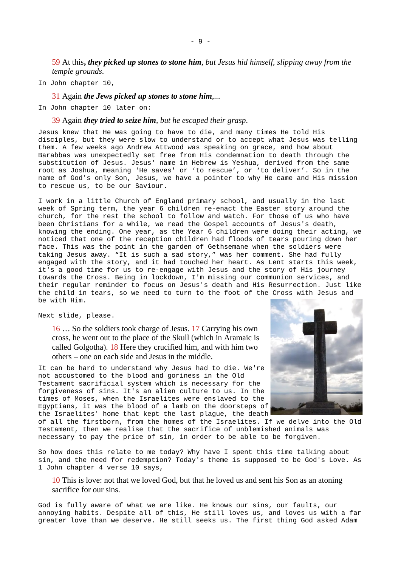59 At this**,** *they picked up stones to stone him, but Jesus hid himself, slipping away from the temple grounds*.

In John chapter 10,

31 Again *the Jews picked up stones to stone him*,...

In John chapter 10 later on:

39 Again *they tried to seize him, but he escaped their grasp*.

Jesus knew that He was going to have to die, and many times He told His disciples, but they were slow to understand or to accept what Jesus was telling them. A few weeks ago Andrew Attwood was speaking on grace, and how about Barabbas was unexpectedly set free from His condemnation to death through the substitution of Jesus. Jesus' name in Hebrew is Yeshua, derived from the same root as Joshua, meaning 'He saves' or 'to rescue', or 'to deliver'. So in the name of God's only Son, Jesus, we have a pointer to why He came and His mission to rescue us, to be our Saviour.

I work in a little Church of England primary school, and usually in the last week of Spring term, the year 6 children re-enact the Easter story around the church, for the rest the school to follow and watch. For those of us who have been Christians for a while, we read the Gospel accounts of Jesus's death, knowing the ending. One year, as the Year 6 children were doing their acting, we noticed that one of the reception children had floods of tears pouring down her face. This was the point in the garden of Gethsemane when the soldiers were taking Jesus away. "It is such a sad story," was her comment. She had fully engaged with the story, and it had touched her heart. As Lent starts this week, it's a good time for us to re-engage with Jesus and the story of His journey towards the Cross. Being in lockdown, I'm missing our communion services, and their regular reminder to focus on Jesus's death and His Resurrection. Just like the child in tears, so we need to turn to the foot of the Cross with Jesus and be with Him.

Next slide, please.

16 … So the soldiers took charge of Jesus. 17 Carrying his own cross, he went out to the place of the Skull (which in Aramaic is called Golgotha). 18 Here they crucified him, and with him two others – one on each side and Jesus in the middle.

It can be hard to understand why Jesus had to die. We're not accustomed to the blood and goriness in the Old Testament sacrificial system which is necessary for the forgiveness of sins. It's an alien culture to us. In the times of Moses, when the Israelites were enslaved to the Egyptians, it was the blood of a lamb on the doorsteps of the Israelites' home that kept the last plague, the death



of all the firstborn, from the homes of the Israelites. If we delve into the Old Testament, then we realise that the sacrifice of unblemished animals was necessary to pay the price of sin, in order to be able to be forgiven.

So how does this relate to me today? Why have I spent this time talking about sin, and the need for redemption? Today's theme is supposed to be God's Love. As 1 John chapter 4 verse 10 says,

10 This is love: not that we loved God, but that he loved us and sent his Son as an atoning sacrifice for our sins.

God is fully aware of what we are like. He knows our sins, our faults, our annoying habits. Despite all of this, He still loves us, and loves us with a far greater love than we deserve. He still seeks us. The first thing God asked Adam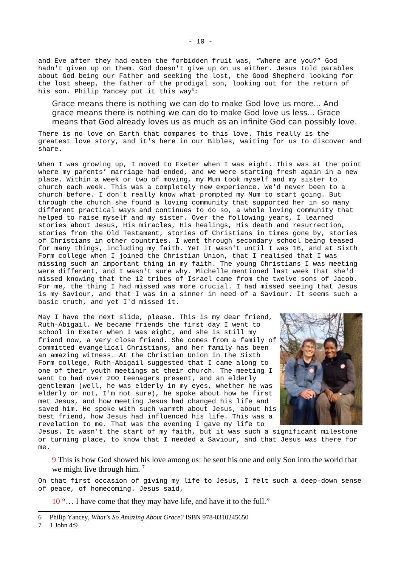and Eve after they had eaten the forbidden fruit was, "Where are you?" God hadn't given up on them. God doesn't give up on us either. Jesus told parables about God being our Father and seeking the lost, the Good Shepherd looking for the lost sheep, the father of the prodigal son, looking out for the return of his son. Philip Yancey put it this way<sup>[6](#page-9-0)</sup>:

Grace means there is nothing we can do to make God love us more... And grace means there is nothing we can do to make God love us less... Grace means that God already loves us as much as an infinite God can possibly love.

There is no love on Earth that compares to this love. This really is the greatest love story, and it's here in our Bibles, waiting for us to discover and share.

When I was growing up, I moved to Exeter when I was eight. This was at the point where my parents' marriage had ended, and we were starting fresh again in a new place. Within a week or two of moving, my Mum took myself and my sister to church each week. This was a completely new experience. We'd never been to a church before. I don't really know what prompted my Mum to start going. But through the church she found a loving community that supported her in so many different practical ways and continues to do so, a whole loving community that helped to raise myself and my sister. Over the following years, I learned stories about Jesus, His miracles, His healings, His death and resurrection, stories from the Old Testament, stories of Christians in times gone by, stories of Christians in other countries. I went through secondary school being teased for many things, including my faith. Yet it wasn't until I was 16, and at Sixth Form college when I joined the Christian Union, that I realised that I was missing such an important thing in my faith. The young Christians I was meeting were different, and I wasn't sure why. Michelle mentioned last week that she'd missed knowing that the 12 tribes of Israel came from the twelve sons of Jacob. For me, the thing I had missed was more crucial. I had missed seeing that Jesus is my Saviour, and that I was in a sinner in need of a Saviour. It seems such a basic truth, and yet I'd missed it.

May I have the next slide, please. This is my dear friend, Ruth-Abigail. We became friends the first day I went to school in Exeter when I was eight, and she is still my friend now, a very close friend. She comes from a family of committed evangelical Christians, and her family has been an amazing witness. At the Christian Union in the Sixth Form college, Ruth-Abigail suggested that I came along to one of their youth meetings at their church. The meeting I went to had over 200 teenagers present, and an elderly gentleman (well, he was elderly in my eyes, whether he was elderly or not, I'm not sure), he spoke about how he first met Jesus, and how meeting Jesus had changed his life and saved him. He spoke with such warmth about Jesus, about his best friend, how Jesus had influenced his life. This was a revelation to me. That was the evening I gave my life to



Jesus. It wasn't the start of my faith, but it was such a significant milestone or turning place, to know that I needed a Saviour, and that Jesus was there for me.

9 This is how God showed his love among us: he sent his one and only Son into the world that we might live through him.<sup>[7](#page-9-1)</sup>

On that first occasion of giving my life to Jesus, I felt such a deep-down sense of peace, of homecoming. Jesus said,

10 "… I have come that they may have life, and have it to the full."

<span id="page-9-0"></span><sup>6</sup> Philip Yancey, *What's So Amazing About Grace?* ISBN 978-0310245650

<span id="page-9-1"></span><sup>7</sup> 1 John 4:9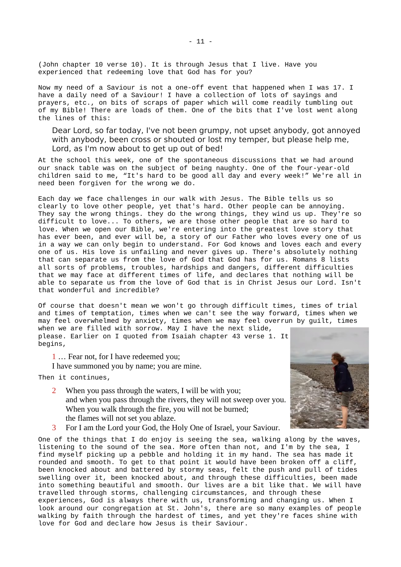(John chapter 10 verse 10). It is through Jesus that I live. Have you experienced that redeeming love that God has for you?

Now my need of a Saviour is not a one-off event that happened when I was 17. I have a daily need of a Saviour! I have a collection of lots of sayings and prayers, etc., on bits of scraps of paper which will come readily tumbling out of my Bible! There are loads of them. One of the bits that I've lost went along the lines of this:

Dear Lord, so far today, I've not been grumpy, not upset anybody, got annoyed with anybody, been cross or shouted or lost my temper, but please help me, Lord, as I'm now about to get up out of bed!

At the school this week, one of the spontaneous discussions that we had around our snack table was on the subject of being naughty. One of the four-year-old children said to me, "It's hard to be good all day and every week!" We're all in need been forgiven for the wrong we do.

Each day we face challenges in our walk with Jesus. The Bible tells us so clearly to love other people, yet that's hard. Other people can be annoying. They say the wrong things. they do the wrong things, they wind us up. They're so difficult to love... To others, we are those other people that are so hard to love. When we open our Bible, we're entering into the greatest love story that has ever been, and ever will be, a story of our Father who loves every one of us in a way we can only begin to understand. For God knows and loves each and every one of us. His love is unfailing and never gives up. There's absolutely nothing that can separate us from the love of God that God has for us. Romans 8 lists all sorts of problems, troubles, hardships and dangers, different difficulties that we may face at different times of life, and declares that nothing will be able to separate us from the love of God that is in Christ Jesus our Lord. Isn't that wonderful and incredible?

Of course that doesn't mean we won't go through difficult times, times of trial and times of temptation, times when we can't see the way forward, times when we may feel overwhelmed by anxiety, times when we may feel overrun by guilt, times when we are filled with sorrow. May I have the next slide, please. Earlier on I quoted from Isaiah chapter 43 verse 1. It

begins,

1 … Fear not, for I have redeemed you;

I have summoned you by name; you are mine.

Then it continues,

- 2 When you pass through the waters, I will be with you; and when you pass through the rivers, they will not sweep over you. When you walk through the fire, you will not be burned; the flames will not set you ablaze.
- 3 For I am the Lord your God, the Holy One of Israel, your Saviour.

One of the things that I do enjoy is seeing the sea, walking along by the waves, listening to the sound of the sea. More often than not, and I'm by the sea, I find myself picking up a pebble and holding it in my hand. The sea has made it rounded and smooth. To get to that point it would have been broken off a cliff, been knocked about and battered by stormy seas, felt the push and pull of tides swelling over it, been knocked about, and through these difficulties, been made into something beautiful and smooth. Our lives are a bit like that. We will have travelled through storms, challenging circumstances, and through these experiences, God is always there with us, transforming and changing us. When I look around our congregation at St. John's, there are so many examples of people walking by faith through the hardest of times, and yet they're faces shine with love for God and declare how Jesus is their Saviour.

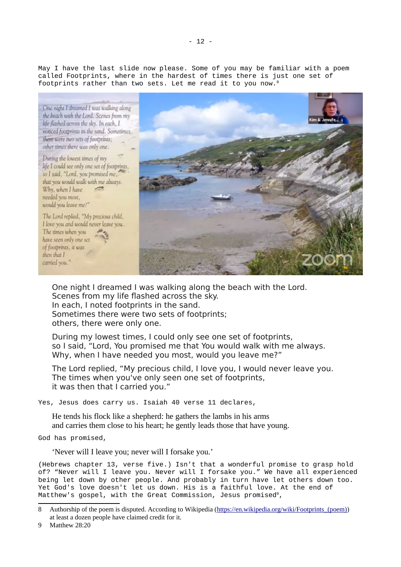May I have the last slide now please. Some of you may be familiar with a poem called Footprints, where in the hardest of times there is just one set of footprints rather than two sets. Let me read it to you now.<sup>[8](#page-11-0)</sup>



One night I dreamed I was walking along the beach with the Lord. Scenes from my life flashed across the sky. In each, I noted footprints in the sand. Sometimes there were two sets of footprints; others, there were only one.

During my lowest times, I could only see one set of footprints, so I said, "Lord, You promised me that You would walk with me always. Why, when I have needed you most, would you leave me?"

The Lord replied, "My precious child, I love you, I would never leave you. The times when you've only seen one set of footprints, it was then that I carried you."

Yes, Jesus does carry us. Isaiah 40 verse 11 declares,

He tends his flock like a shepherd: he gathers the lambs in his arms and carries them close to his heart; he gently leads those that have young.

God has promised,

'Never will I leave you; never will I forsake you.'

(Hebrews chapter 13, verse five.) Isn't that a wonderful promise to grasp hold of? "Never will I leave you. Never will I forsake you." We have all experienced being let down by other people. And probably in turn have let others down too. Yet God's love doesn't let us down. His is a faithful love. At the end of Matthew's gospel, with the Great Commission, Jesus promised<sup>[9](#page-11-1)</sup>,

<span id="page-11-0"></span><sup>8</sup> Authorship of the poem is disputed. According to Wikipedia (https://en.wikipedia.org/wiki/Footprints (poem)) at least a dozen people have claimed credit for it.

<span id="page-11-1"></span><sup>9</sup> Matthew 28:20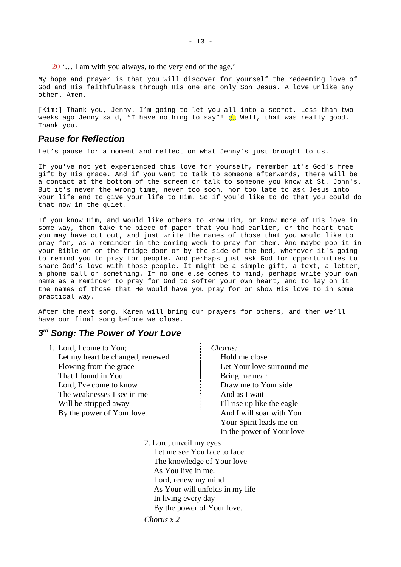20 '… I am with you always, to the very end of the age.'

My hope and prayer is that you will discover for yourself the redeeming love of God and His faithfulness through His one and only Son Jesus. A love unlike any other. Amen.

[Kim:] Thank you, Jenny. I'm going to let you all into a secret. Less than two weeks ago Jenny said, "I have nothing to say"!  $\odot$  Well, that was really good. Thank you.

## <span id="page-12-1"></span>*Pause for Reflection*

Let's pause for a moment and reflect on what Jenny's just brought to us.

If you've not yet experienced this love for yourself, remember it's God's free gift by His grace. And if you want to talk to someone afterwards, there will be a contact at the bottom of the screen or talk to someone you know at St. John's. But it's never the wrong time, never too soon, nor too late to ask Jesus into your life and to give your life to Him. So if you'd like to do that you could do that now in the quiet.

If you know Him, and would like others to know Him, or know more of His love in some way, then take the piece of paper that you had earlier, or the heart that you may have cut out, and just write the names of those that you would like to pray for, as a reminder in the coming week to pray for them. And maybe pop it in your Bible or on the fridge door or by the side of the bed, wherever it's going to remind you to pray for people. And perhaps just ask God for opportunities to share God's love with those people. It might be a simple gift, a text, a letter, a phone call or something. If no one else comes to mind, perhaps write your own name as a reminder to pray for God to soften your own heart, and to lay on it the names of those that He would have you pray for or show His love to in some practical way.

After the next song, Karen will bring our prayers for others, and then we'll have our final song before we close.

# <span id="page-12-0"></span>*3 rd Song: The Power of Your Love*

1. Lord, I come to You; Let my heart be changed, renewed Flowing from the grace That I found in You. Lord, I've come to know The weaknesses I see in me Will be stripped away By the power of Your love.

*Chorus:*

Hold me close Let Your love surround me Bring me near Draw me to Your side And as I wait I'll rise up like the eagle And I will soar with You Your Spirit leads me on In the power of Your love

2. Lord, unveil my eyes Let me see You face to face The knowledge of Your love As You live in me. Lord, renew my mind As Your will unfolds in my life In living every day By the power of Your love.

*Chorus x 2*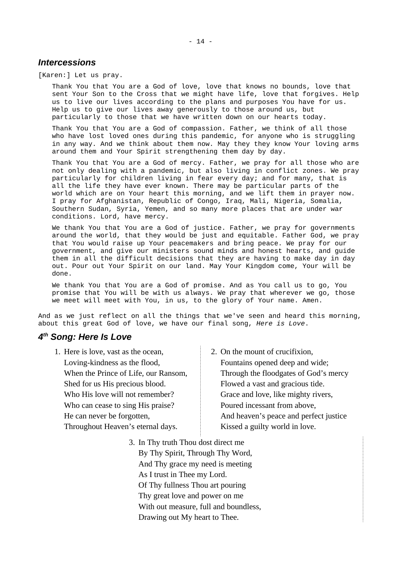### <span id="page-13-1"></span>*Intercessions*

[Karen:] Let us pray.

Thank You that You are a God of love, love that knows no bounds, love that sent Your Son to the Cross that we might have life, love that forgives. Help us to live our lives according to the plans and purposes You have for us. Help us to give our lives away generously to those around us, but particularly to those that we have written down on our hearts today.

Thank You that You are a God of compassion. Father, we think of all those who have lost loved ones during this pandemic, for anyone who is struggling in any way. And we think about them now. May they they know Your loving arms around them and Your Spirit strengthening them day by day.

Thank You that You are a God of mercy. Father, we pray for all those who are not only dealing with a pandemic, but also living in conflict zones. We pray particularly for children living in fear every day; and for many, that is all the life they have ever known. There may be particular parts of the world which are on Your heart this morning, and we lift them in prayer now. I pray for Afghanistan, Republic of Congo, Iraq, Mali, Nigeria, Somalia, Southern Sudan, Syria, Yemen, and so many more places that are under war conditions. Lord, have mercy.

We thank You that You are a God of justice. Father, we pray for governments around the world, that they would be just and equitable. Father God, we pray that You would raise up Your peacemakers and bring peace. We pray for our government, and give our ministers sound minds and honest hearts, and guide them in all the difficult decisions that they are having to make day in day out. Pour out Your Spirit on our land. May Your Kingdom come, Your will be done.

We thank You that You are a God of promise. And as You call us to go, You promise that You will be with us always. We pray that wherever we go, those we meet will meet with You, in us, to the glory of Your name. Amen.

And as we just reflect on all the things that we've seen and heard this morning, about this great God of love, we have our final song, *Here is Love*.

# <span id="page-13-0"></span>*4 th Song: Here Is Love*

| 1. Here is love, vast as the ocean,  | 2. On the mount of crucifixion,        |
|--------------------------------------|----------------------------------------|
| Loving-kindness as the flood,        | Fountains opened deep and wide;        |
| When the Prince of Life, our Ransom, | Through the floodgates of God's mercy  |
| Shed for us His precious blood.      | Flowed a vast and gracious tide.       |
| Who His love will not remember?      | Grace and love, like mighty rivers,    |
| Who can cease to sing His praise?    | Poured incessant from above,           |
| He can never be forgotten,           | And heaven's peace and perfect justice |
| Throughout Heaven's eternal days.    | Kissed a guilty world in love.         |
|                                      |                                        |

3. In Thy truth Thou dost direct me By Thy Spirit, Through Thy Word, And Thy grace my need is meeting As I trust in Thee my Lord. Of Thy fullness Thou art pouring Thy great love and power on me With out measure, full and boundless, Drawing out My heart to Thee.